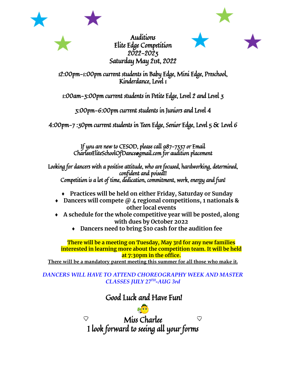

Auditions Elite Edge Competition 2022-2023 Saturday May 21st, 2022



12:00pm-1:00pm current students in Baby Edge, Mini Edge, Preschool, Kinderdance, Level 1

1:00am-3:00pm current students in Petite Edge, Level 2 and Level 3

3:00pm-6:00pm current students in Juniors and Level 4

4:00pm-7 :30pm current students in Teen Edge, Senior Edge, Level 5 & Level 6

If you are new to CESOD, please call 987-7337 or Email CharleesEliteSchoolOfDance@gmail.com for audition placement

Looking for dancers with a positive attitude, who are focused, hardworking, determined, confident and poised!! Competition is a lot of time, dedication, commitment, work, energy and fun!

- **♦ Practices will be held on either Friday, Saturday or Sunday**
- **♦ Dancers will compete @ 4 regional competitions, 1 nationals & other local events**
- **♦ A schedule for the whole competitive year will be posted, along with dues by October 2022**
	- **♦ Dancers need to bring \$10 cash for the audition fee**

**There will be a meeting on Tuesday, May 3rd for any new families interested in learning more about the competition team. It will be held at 7:30pm in the office.**

**There will be a mandatory parent meeting this summer for all those who make it.**

## *DANCERS WILL HAVE TO ATTEND CHOREOGRAPHY WEEK AND MASTER CLASSES JULY 27TH -AUG 3rd*

## Good Luck and Have Fun!

Miss Charlee ♡ ♡ I look forward to seeing all your forms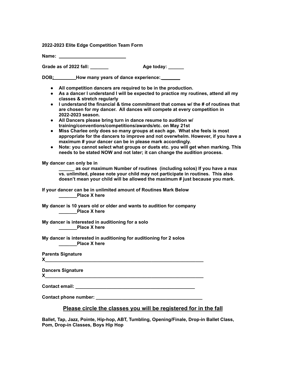**2022-2023 Elite Edge Competition Team Form**

**Name:**

**Grade as of 2022 fall: \_\_\_\_\_\_\_ Age today: \_\_\_\_\_\_**

**DOB: How many years of dance experience: \_\_\_\_\_\_\_**

- **● All competition dancers are required to be in the production.**
- **● As a dancer I understand I will be expected to practice my routines, attend all my classes & stretch regularly**
- **● I understand the financial & time commitment that comes w/ the # of routines that are chosen for my dancer. All dances will compete at every competition in 2022-2023 season.**
- **● All Dancers please bring turn in dance resume to audition w/ training/conventions/competitions/awards/etc. on May 21st**
- **● Miss Charlee only does so many groups at each age. What she feels is most appropriate for the dancers to improve and not overwhelm. However, if you have a maximum # your dancer can be in please mark accordingly.**
- **● Note: you cannot select what groups or duets etc. you will get when marking. This needs to be stated NOW and not later; it can change the audition process.**

**My dancer can only be in**

**\_\_\_\_\_\_ as our maximum Number of routines (including solos) If you have a max vs. unlimited, please note your child may not participate in routines. This also doesn't mean your child will be allowed the maximum # just because you mark.**

**If your dancer can be in unlimited amount of Routines Mark Below \_\_\_\_\_\_\_Place X here**

**My dancer is 10 years old or older and wants to audition for company \_\_\_\_\_\_\_Place X here**

**My dancer is interested in auditioning for a solo \_\_\_\_\_\_\_Place X here**

**My dancer is interested in auditioning for auditioning for 2 solos \_\_\_\_\_\_\_Place X here**

**Parents Signature**

**X\_\_\_\_\_\_\_\_\_\_\_\_\_\_\_\_\_\_\_\_\_\_\_\_\_\_\_\_\_\_\_\_\_\_\_\_\_\_\_\_\_\_\_\_\_\_\_\_\_\_\_\_\_\_\_\_\_\_\_\_\_**

**Dancers Signature**

 $\mathsf{X}$  , and the set of the set of the set of the set of the set of the set of the set of the set of the set of the set of the set of the set of the set of the set of the set of the set of the set of the set of the set

**Contact email: \_\_\_\_\_\_\_\_\_\_\_\_\_\_\_\_\_\_\_\_\_\_\_\_\_\_\_\_\_\_\_\_\_\_\_\_\_\_\_\_\_\_\_\_\_\_**

**Contact phone number: \_\_\_\_\_\_\_\_\_\_\_\_\_\_\_\_\_\_\_\_\_\_\_\_\_\_\_\_\_\_\_\_\_\_\_\_\_\_\_\_\_**

## **Please circle the classes you will be registered for in the fall**

**Ballet, Tap, Jazz, Pointe, Hip-hop, ABT, Tumbling, Opening/Finale, Drop-in Ballet Class, Pom, Drop-in Classes, Boys Hip Hop**